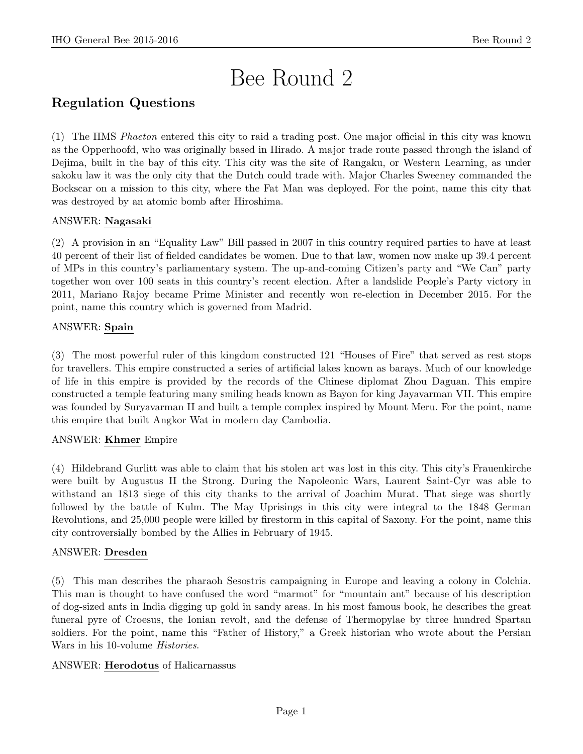# Bee Round 2

# Regulation Questions

(1) The HMS Phaeton entered this city to raid a trading post. One major official in this city was known as the Opperhoofd, who was originally based in Hirado. A major trade route passed through the island of Dejima, built in the bay of this city. This city was the site of Rangaku, or Western Learning, as under sakoku law it was the only city that the Dutch could trade with. Major Charles Sweeney commanded the Bockscar on a mission to this city, where the Fat Man was deployed. For the point, name this city that was destroyed by an atomic bomb after Hiroshima.

# ANSWER: Nagasaki

(2) A provision in an "Equality Law" Bill passed in 2007 in this country required parties to have at least 40 percent of their list of fielded candidates be women. Due to that law, women now make up 39.4 percent of MPs in this country's parliamentary system. The up-and-coming Citizen's party and "We Can" party together won over 100 seats in this country's recent election. After a landslide People's Party victory in 2011, Mariano Rajoy became Prime Minister and recently won re-election in December 2015. For the point, name this country which is governed from Madrid.

# ANSWER: Spain

(3) The most powerful ruler of this kingdom constructed 121 "Houses of Fire" that served as rest stops for travellers. This empire constructed a series of artificial lakes known as barays. Much of our knowledge of life in this empire is provided by the records of the Chinese diplomat Zhou Daguan. This empire constructed a temple featuring many smiling heads known as Bayon for king Jayavarman VII. This empire was founded by Suryavarman II and built a temple complex inspired by Mount Meru. For the point, name this empire that built Angkor Wat in modern day Cambodia.

# ANSWER: Khmer Empire

(4) Hildebrand Gurlitt was able to claim that his stolen art was lost in this city. This city's Frauenkirche were built by Augustus II the Strong. During the Napoleonic Wars, Laurent Saint-Cyr was able to withstand an 1813 siege of this city thanks to the arrival of Joachim Murat. That siege was shortly followed by the battle of Kulm. The May Uprisings in this city were integral to the 1848 German Revolutions, and 25,000 people were killed by firestorm in this capital of Saxony. For the point, name this city controversially bombed by the Allies in February of 1945.

# ANSWER: Dresden

(5) This man describes the pharaoh Sesostris campaigning in Europe and leaving a colony in Colchia. This man is thought to have confused the word "marmot" for "mountain ant" because of his description of dog-sized ants in India digging up gold in sandy areas. In his most famous book, he describes the great funeral pyre of Croesus, the Ionian revolt, and the defense of Thermopylae by three hundred Spartan soldiers. For the point, name this "Father of History," a Greek historian who wrote about the Persian Wars in his 10-volume Histories.

# ANSWER: Herodotus of Halicarnassus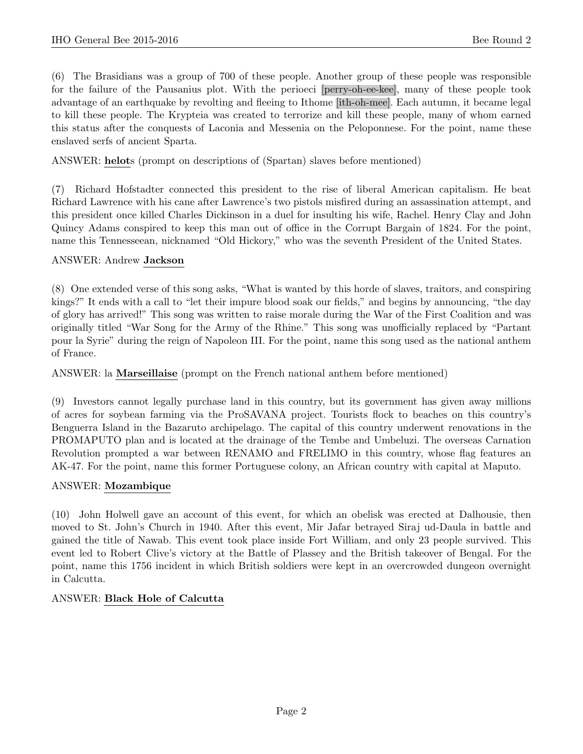(6) The Brasidians was a group of 700 of these people. Another group of these people was responsible for the failure of the Pausanius plot. With the perioeci [perry-oh-ee-kee], many of these people took advantage of an earthquake by revolting and fleeing to Ithome [ith-oh-mee]. Each autumn, it became legal to kill these people. The Krypteia was created to terrorize and kill these people, many of whom earned this status after the conquests of Laconia and Messenia on the Peloponnese. For the point, name these enslaved serfs of ancient Sparta.

ANSWER: helots (prompt on descriptions of (Spartan) slaves before mentioned)

(7) Richard Hofstadter connected this president to the rise of liberal American capitalism. He beat Richard Lawrence with his cane after Lawrence's two pistols misfired during an assassination attempt, and this president once killed Charles Dickinson in a duel for insulting his wife, Rachel. Henry Clay and John Quincy Adams conspired to keep this man out of office in the Corrupt Bargain of 1824. For the point, name this Tennesseean, nicknamed "Old Hickory," who was the seventh President of the United States.

#### ANSWER: Andrew Jackson

(8) One extended verse of this song asks, "What is wanted by this horde of slaves, traitors, and conspiring kings?" It ends with a call to "let their impure blood soak our fields," and begins by announcing, "the day of glory has arrived!" This song was written to raise morale during the War of the First Coalition and was originally titled "War Song for the Army of the Rhine." This song was unofficially replaced by "Partant pour la Syrie" during the reign of Napoleon III. For the point, name this song used as the national anthem of France.

ANSWER: la Marseillaise (prompt on the French national anthem before mentioned)

(9) Investors cannot legally purchase land in this country, but its government has given away millions of acres for soybean farming via the ProSAVANA project. Tourists flock to beaches on this country's Benguerra Island in the Bazaruto archipelago. The capital of this country underwent renovations in the PROMAPUTO plan and is located at the drainage of the Tembe and Umbeluzi. The overseas Carnation Revolution prompted a war between RENAMO and FRELIMO in this country, whose flag features an AK-47. For the point, name this former Portuguese colony, an African country with capital at Maputo.

#### ANSWER: Mozambique

(10) John Holwell gave an account of this event, for which an obelisk was erected at Dalhousie, then moved to St. John's Church in 1940. After this event, Mir Jafar betrayed Siraj ud-Daula in battle and gained the title of Nawab. This event took place inside Fort William, and only 23 people survived. This event led to Robert Clive's victory at the Battle of Plassey and the British takeover of Bengal. For the point, name this 1756 incident in which British soldiers were kept in an overcrowded dungeon overnight in Calcutta.

#### ANSWER: Black Hole of Calcutta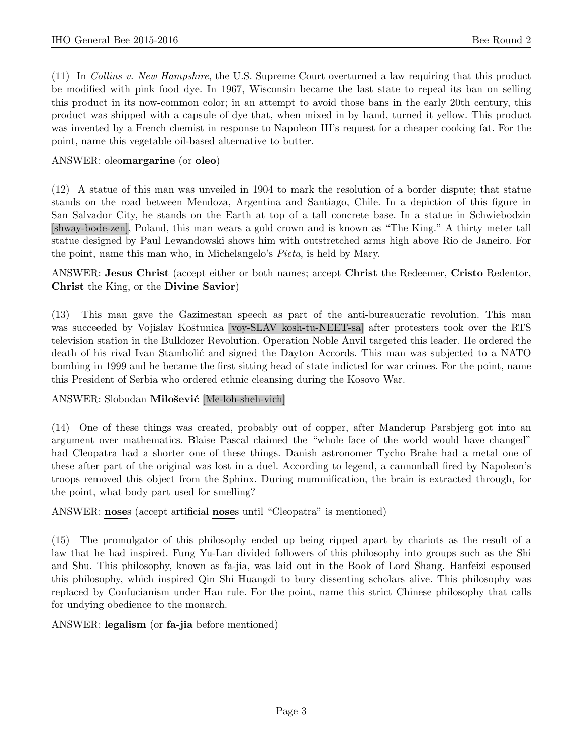(11) In Collins v. New Hampshire, the U.S. Supreme Court overturned a law requiring that this product be modified with pink food dye. In 1967, Wisconsin became the last state to repeal its ban on selling this product in its now-common color; in an attempt to avoid those bans in the early 20th century, this product was shipped with a capsule of dye that, when mixed in by hand, turned it yellow. This product was invented by a French chemist in response to Napoleon III's request for a cheaper cooking fat. For the point, name this vegetable oil-based alternative to butter.

#### ANSWER: oleomargarine (or oleo)

(12) A statue of this man was unveiled in 1904 to mark the resolution of a border dispute; that statue stands on the road between Mendoza, Argentina and Santiago, Chile. In a depiction of this figure in San Salvador City, he stands on the Earth at top of a tall concrete base. In a statue in Schwiebodzin [shway-bode-zen], Poland, this man wears a gold crown and is known as "The King." A thirty meter tall statue designed by Paul Lewandowski shows him with outstretched arms high above Rio de Janeiro. For the point, name this man who, in Michelangelo's Pieta, is held by Mary.

ANSWER: Jesus Christ (accept either or both names; accept Christ the Redeemer, Cristo Redentor, Christ the King, or the Divine Savior)

(13) This man gave the Gazimestan speech as part of the anti-bureaucratic revolution. This man was succeeded by Vojislav Koštunica [voy-SLAV kosh-tu-NEET-sa] after protesters took over the RTS television station in the Bulldozer Revolution. Operation Noble Anvil targeted this leader. He ordered the death of his rival Ivan Stambolić and signed the Dayton Accords. This man was subjected to a NATO bombing in 1999 and he became the first sitting head of state indicted for war crimes. For the point, name this President of Serbia who ordered ethnic cleansing during the Kosovo War.

#### ANSWER: Slobodan Milošević [Me-loh-sheh-vich]

(14) One of these things was created, probably out of copper, after Manderup Parsbjerg got into an argument over mathematics. Blaise Pascal claimed the "whole face of the world would have changed" had Cleopatra had a shorter one of these things. Danish astronomer Tycho Brahe had a metal one of these after part of the original was lost in a duel. According to legend, a cannonball fired by Napoleon's troops removed this object from the Sphinx. During mummification, the brain is extracted through, for the point, what body part used for smelling?

#### ANSWER: noses (accept artificial noses until "Cleopatra" is mentioned)

(15) The promulgator of this philosophy ended up being ripped apart by chariots as the result of a law that he had inspired. Fung Yu-Lan divided followers of this philosophy into groups such as the Shi and Shu. This philosophy, known as fa-jia, was laid out in the Book of Lord Shang. Hanfeizi espoused this philosophy, which inspired Qin Shi Huangdi to bury dissenting scholars alive. This philosophy was replaced by Confucianism under Han rule. For the point, name this strict Chinese philosophy that calls for undying obedience to the monarch.

#### ANSWER: legalism (or fa-jia before mentioned)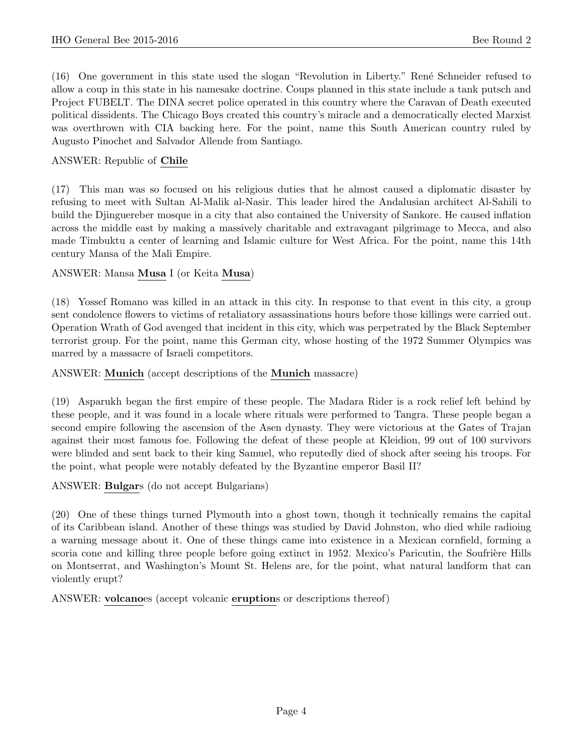(16) One government in this state used the slogan "Revolution in Liberty." Ren´e Schneider refused to allow a coup in this state in his namesake doctrine. Coups planned in this state include a tank putsch and Project FUBELT. The DINA secret police operated in this country where the Caravan of Death executed political dissidents. The Chicago Boys created this country's miracle and a democratically elected Marxist was overthrown with CIA backing here. For the point, name this South American country ruled by Augusto Pinochet and Salvador Allende from Santiago.

#### ANSWER: Republic of Chile

(17) This man was so focused on his religious duties that he almost caused a diplomatic disaster by refusing to meet with Sultan Al-Malik al-Nasir. This leader hired the Andalusian architect Al-Sahili to build the Djinguereber mosque in a city that also contained the University of Sankore. He caused inflation across the middle east by making a massively charitable and extravagant pilgrimage to Mecca, and also made Timbuktu a center of learning and Islamic culture for West Africa. For the point, name this 14th century Mansa of the Mali Empire.

#### ANSWER: Mansa Musa I (or Keita Musa)

(18) Yossef Romano was killed in an attack in this city. In response to that event in this city, a group sent condolence flowers to victims of retaliatory assassinations hours before those killings were carried out. Operation Wrath of God avenged that incident in this city, which was perpetrated by the Black September terrorist group. For the point, name this German city, whose hosting of the 1972 Summer Olympics was marred by a massacre of Israeli competitors.

#### ANSWER: Munich (accept descriptions of the Munich massacre)

(19) Asparukh began the first empire of these people. The Madara Rider is a rock relief left behind by these people, and it was found in a locale where rituals were performed to Tangra. These people began a second empire following the ascension of the Asen dynasty. They were victorious at the Gates of Trajan against their most famous foe. Following the defeat of these people at Kleidion, 99 out of 100 survivors were blinded and sent back to their king Samuel, who reputedly died of shock after seeing his troops. For the point, what people were notably defeated by the Byzantine emperor Basil II?

ANSWER: Bulgars (do not accept Bulgarians)

(20) One of these things turned Plymouth into a ghost town, though it technically remains the capital of its Caribbean island. Another of these things was studied by David Johnston, who died while radioing a warning message about it. One of these things came into existence in a Mexican cornfield, forming a scoria cone and killing three people before going extinct in 1952. Mexico's Paricutin, the Soufrière Hills on Montserrat, and Washington's Mount St. Helens are, for the point, what natural landform that can violently erupt?

ANSWER: volcanoes (accept volcanic eruptions or descriptions thereof)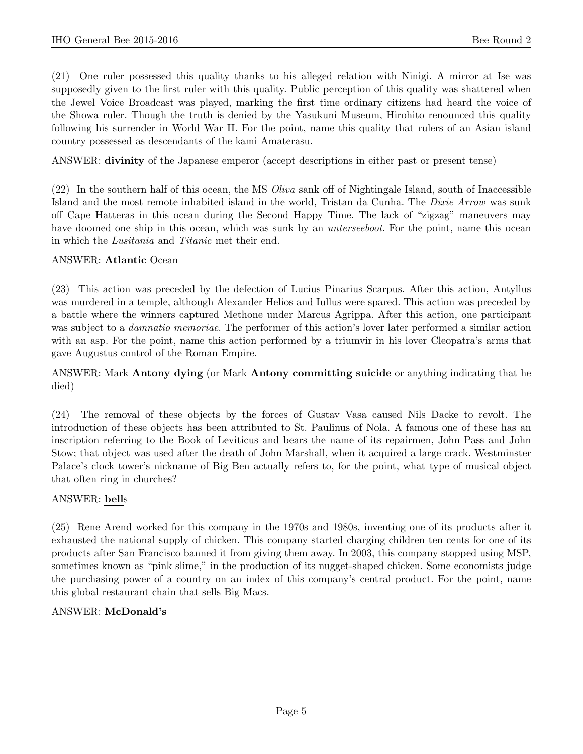(21) One ruler possessed this quality thanks to his alleged relation with Ninigi. A mirror at Ise was supposedly given to the first ruler with this quality. Public perception of this quality was shattered when the Jewel Voice Broadcast was played, marking the first time ordinary citizens had heard the voice of the Showa ruler. Though the truth is denied by the Yasukuni Museum, Hirohito renounced this quality following his surrender in World War II. For the point, name this quality that rulers of an Asian island country possessed as descendants of the kami Amaterasu.

ANSWER: divinity of the Japanese emperor (accept descriptions in either past or present tense)

(22) In the southern half of this ocean, the MS Oliva sank off of Nightingale Island, south of Inaccessible Island and the most remote inhabited island in the world, Tristan da Cunha. The Dixie Arrow was sunk off Cape Hatteras in this ocean during the Second Happy Time. The lack of "zigzag" maneuvers may have doomed one ship in this ocean, which was sunk by an *unterseeboot*. For the point, name this ocean in which the Lusitania and Titanic met their end.

#### ANSWER: Atlantic Ocean

(23) This action was preceded by the defection of Lucius Pinarius Scarpus. After this action, Antyllus was murdered in a temple, although Alexander Helios and Iullus were spared. This action was preceded by a battle where the winners captured Methone under Marcus Agrippa. After this action, one participant was subject to a *damnatio memoriae*. The performer of this action's lover later performed a similar action with an asp. For the point, name this action performed by a triumvir in his lover Cleopatra's arms that gave Augustus control of the Roman Empire.

#### ANSWER: Mark Antony dying (or Mark Antony committing suicide or anything indicating that he died)

(24) The removal of these objects by the forces of Gustav Vasa caused Nils Dacke to revolt. The introduction of these objects has been attributed to St. Paulinus of Nola. A famous one of these has an inscription referring to the Book of Leviticus and bears the name of its repairmen, John Pass and John Stow; that object was used after the death of John Marshall, when it acquired a large crack. Westminster Palace's clock tower's nickname of Big Ben actually refers to, for the point, what type of musical object that often ring in churches?

#### ANSWER: bells

(25) Rene Arend worked for this company in the 1970s and 1980s, inventing one of its products after it exhausted the national supply of chicken. This company started charging children ten cents for one of its products after San Francisco banned it from giving them away. In 2003, this company stopped using MSP, sometimes known as "pink slime," in the production of its nugget-shaped chicken. Some economists judge the purchasing power of a country on an index of this company's central product. For the point, name this global restaurant chain that sells Big Macs.

#### ANSWER: McDonald's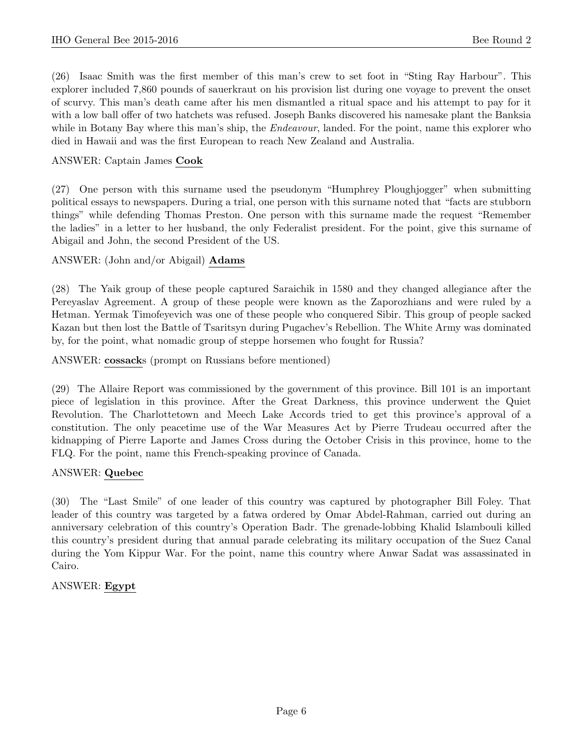(26) Isaac Smith was the first member of this man's crew to set foot in "Sting Ray Harbour". This explorer included 7,860 pounds of sauerkraut on his provision list during one voyage to prevent the onset of scurvy. This man's death came after his men dismantled a ritual space and his attempt to pay for it with a low ball offer of two hatchets was refused. Joseph Banks discovered his namesake plant the Banksia while in Botany Bay where this man's ship, the *Endeavour*, landed. For the point, name this explorer who died in Hawaii and was the first European to reach New Zealand and Australia.

#### ANSWER: Captain James Cook

(27) One person with this surname used the pseudonym "Humphrey Ploughjogger" when submitting political essays to newspapers. During a trial, one person with this surname noted that "facts are stubborn things" while defending Thomas Preston. One person with this surname made the request "Remember the ladies" in a letter to her husband, the only Federalist president. For the point, give this surname of Abigail and John, the second President of the US.

#### ANSWER: (John and/or Abigail) Adams

(28) The Yaik group of these people captured Saraichik in 1580 and they changed allegiance after the Pereyaslav Agreement. A group of these people were known as the Zaporozhians and were ruled by a Hetman. Yermak Timofeyevich was one of these people who conquered Sibir. This group of people sacked Kazan but then lost the Battle of Tsaritsyn during Pugachev's Rebellion. The White Army was dominated by, for the point, what nomadic group of steppe horsemen who fought for Russia?

ANSWER: cossacks (prompt on Russians before mentioned)

(29) The Allaire Report was commissioned by the government of this province. Bill 101 is an important piece of legislation in this province. After the Great Darkness, this province underwent the Quiet Revolution. The Charlottetown and Meech Lake Accords tried to get this province's approval of a constitution. The only peacetime use of the War Measures Act by Pierre Trudeau occurred after the kidnapping of Pierre Laporte and James Cross during the October Crisis in this province, home to the FLQ. For the point, name this French-speaking province of Canada.

#### ANSWER: Quebec

(30) The "Last Smile" of one leader of this country was captured by photographer Bill Foley. That leader of this country was targeted by a fatwa ordered by Omar Abdel-Rahman, carried out during an anniversary celebration of this country's Operation Badr. The grenade-lobbing Khalid Islambouli killed this country's president during that annual parade celebrating its military occupation of the Suez Canal during the Yom Kippur War. For the point, name this country where Anwar Sadat was assassinated in Cairo.

#### ANSWER: Egypt